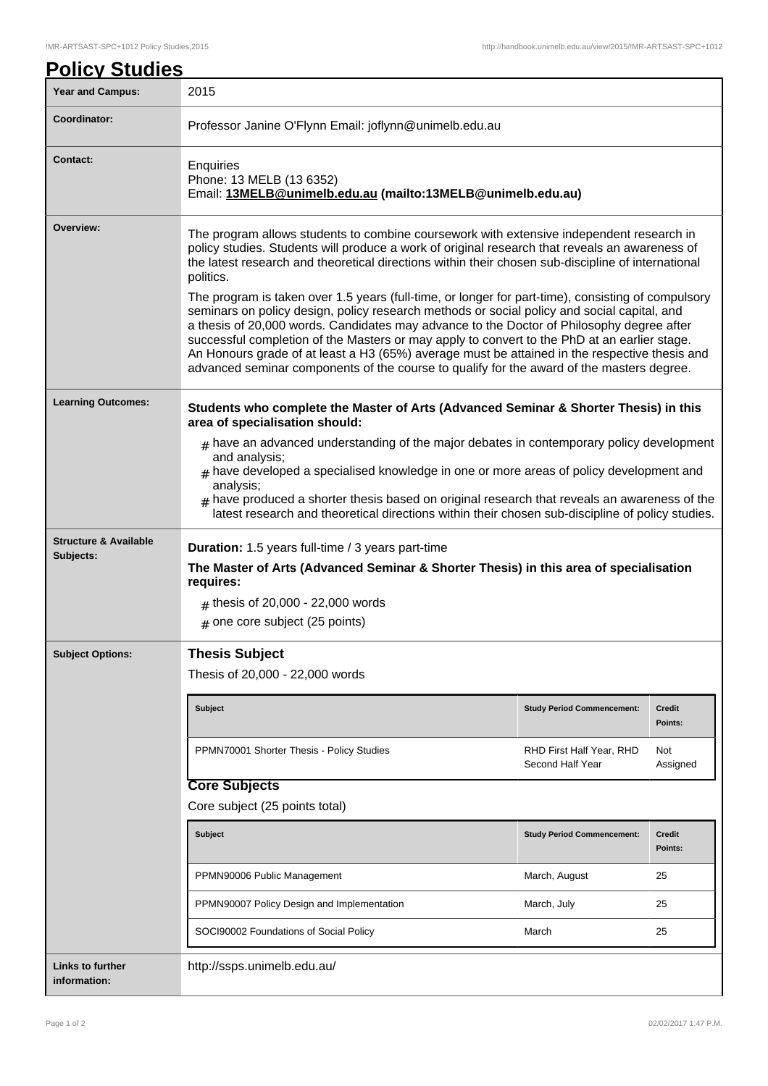| <b>Policy Studies</b>                         |                                                                                                                                                                                                                                                                                                                                                                                                                                                                                                                                                                                                                                                                                                                                                                                                                                                                                                               |                                              |                          |
|-----------------------------------------------|---------------------------------------------------------------------------------------------------------------------------------------------------------------------------------------------------------------------------------------------------------------------------------------------------------------------------------------------------------------------------------------------------------------------------------------------------------------------------------------------------------------------------------------------------------------------------------------------------------------------------------------------------------------------------------------------------------------------------------------------------------------------------------------------------------------------------------------------------------------------------------------------------------------|----------------------------------------------|--------------------------|
| <b>Year and Campus:</b>                       | 2015                                                                                                                                                                                                                                                                                                                                                                                                                                                                                                                                                                                                                                                                                                                                                                                                                                                                                                          |                                              |                          |
| Coordinator:                                  | Professor Janine O'Flynn Email: joflynn@unimelb.edu.au                                                                                                                                                                                                                                                                                                                                                                                                                                                                                                                                                                                                                                                                                                                                                                                                                                                        |                                              |                          |
| <b>Contact:</b>                               | Enquiries<br>Phone: 13 MELB (13 6352)<br>Email: 13MELB@unimelb.edu.au (mailto:13MELB@unimelb.edu.au)                                                                                                                                                                                                                                                                                                                                                                                                                                                                                                                                                                                                                                                                                                                                                                                                          |                                              |                          |
| Overview:                                     | The program allows students to combine coursework with extensive independent research in<br>policy studies. Students will produce a work of original research that reveals an awareness of<br>the latest research and theoretical directions within their chosen sub-discipline of international<br>politics.<br>The program is taken over 1.5 years (full-time, or longer for part-time), consisting of compulsory<br>seminars on policy design, policy research methods or social policy and social capital, and<br>a thesis of 20,000 words. Candidates may advance to the Doctor of Philosophy degree after<br>successful completion of the Masters or may apply to convert to the PhD at an earlier stage.<br>An Honours grade of at least a H3 (65%) average must be attained in the respective thesis and<br>advanced seminar components of the course to qualify for the award of the masters degree. |                                              |                          |
| <b>Learning Outcomes:</b>                     | Students who complete the Master of Arts (Advanced Seminar & Shorter Thesis) in this<br>area of specialisation should:<br>$*$ have an advanced understanding of the major debates in contemporary policy development<br>and analysis;<br>$_{\#}$ have developed a specialised knowledge in one or more areas of policy development and<br>analysis;<br>$#$ have produced a shorter thesis based on original research that reveals an awareness of the<br>latest research and theoretical directions within their chosen sub-discipline of policy studies.                                                                                                                                                                                                                                                                                                                                                     |                                              |                          |
| <b>Structure &amp; Available</b><br>Subjects: | <b>Duration:</b> 1.5 years full-time / 3 years part-time<br>The Master of Arts (Advanced Seminar & Shorter Thesis) in this area of specialisation<br>requires:<br>$#$ thesis of 20,000 - 22,000 words<br>$#$ one core subject (25 points)                                                                                                                                                                                                                                                                                                                                                                                                                                                                                                                                                                                                                                                                     |                                              |                          |
| <b>Subject Options:</b>                       | <b>Thesis Subject</b><br>Thesis of 20,000 - 22,000 words                                                                                                                                                                                                                                                                                                                                                                                                                                                                                                                                                                                                                                                                                                                                                                                                                                                      |                                              |                          |
|                                               | <b>Subject</b>                                                                                                                                                                                                                                                                                                                                                                                                                                                                                                                                                                                                                                                                                                                                                                                                                                                                                                | <b>Study Period Commencement:</b>            | <b>Credit</b><br>Points: |
|                                               | PPMN70001 Shorter Thesis - Policy Studies                                                                                                                                                                                                                                                                                                                                                                                                                                                                                                                                                                                                                                                                                                                                                                                                                                                                     | RHD First Half Year, RHD<br>Second Half Year | Not<br>Assigned          |
|                                               | <b>Core Subjects</b>                                                                                                                                                                                                                                                                                                                                                                                                                                                                                                                                                                                                                                                                                                                                                                                                                                                                                          |                                              |                          |
|                                               | Core subject (25 points total)                                                                                                                                                                                                                                                                                                                                                                                                                                                                                                                                                                                                                                                                                                                                                                                                                                                                                |                                              |                          |
|                                               | <b>Subject</b>                                                                                                                                                                                                                                                                                                                                                                                                                                                                                                                                                                                                                                                                                                                                                                                                                                                                                                | <b>Study Period Commencement:</b>            | <b>Credit</b><br>Points: |
|                                               | PPMN90006 Public Management                                                                                                                                                                                                                                                                                                                                                                                                                                                                                                                                                                                                                                                                                                                                                                                                                                                                                   | March, August                                | 25                       |
|                                               | PPMN90007 Policy Design and Implementation                                                                                                                                                                                                                                                                                                                                                                                                                                                                                                                                                                                                                                                                                                                                                                                                                                                                    | March, July                                  | 25                       |
|                                               | SOCI90002 Foundations of Social Policy                                                                                                                                                                                                                                                                                                                                                                                                                                                                                                                                                                                                                                                                                                                                                                                                                                                                        | March                                        | 25                       |
| <b>Links to further</b><br>information:       | http://ssps.unimelb.edu.au/                                                                                                                                                                                                                                                                                                                                                                                                                                                                                                                                                                                                                                                                                                                                                                                                                                                                                   |                                              |                          |